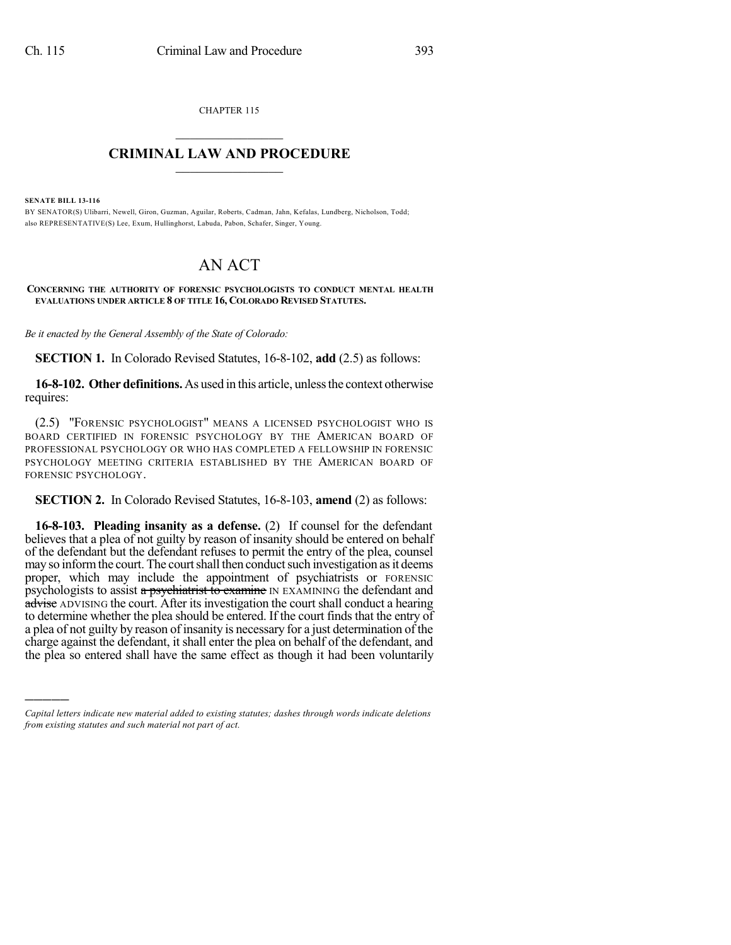CHAPTER 115  $\overline{\phantom{a}}$  . The set of the set of the set of the set of the set of the set of the set of the set of the set of the set of the set of the set of the set of the set of the set of the set of the set of the set of the set o

## **CRIMINAL LAW AND PROCEDURE**  $\frac{1}{2}$  ,  $\frac{1}{2}$  ,  $\frac{1}{2}$  ,  $\frac{1}{2}$  ,  $\frac{1}{2}$  ,  $\frac{1}{2}$  ,  $\frac{1}{2}$

**SENATE BILL 13-116**

)))))

BY SENATOR(S) Ulibarri, Newell, Giron, Guzman, Aguilar, Roberts, Cadman, Jahn, Kefalas, Lundberg, Nicholson, Todd; also REPRESENTATIVE(S) Lee, Exum, Hullinghorst, Labuda, Pabon, Schafer, Singer, Young.

## AN ACT

**CONCERNING THE AUTHORITY OF FORENSIC PSYCHOLOGISTS TO CONDUCT MENTAL HEALTH EVALUATIONS UNDER ARTICLE 8 OF TITLE 16, COLORADO REVISED STATUTES.**

*Be it enacted by the General Assembly of the State of Colorado:*

**SECTION 1.** In Colorado Revised Statutes, 16-8-102, **add** (2.5) as follows:

**16-8-102. Other definitions.** As used in this article, unlessthe context otherwise requires:

(2.5) "FORENSIC PSYCHOLOGIST" MEANS A LICENSED PSYCHOLOGIST WHO IS BOARD CERTIFIED IN FORENSIC PSYCHOLOGY BY THE AMERICAN BOARD OF PROFESSIONAL PSYCHOLOGY OR WHO HAS COMPLETED A FELLOWSHIP IN FORENSIC PSYCHOLOGY MEETING CRITERIA ESTABLISHED BY THE AMERICAN BOARD OF FORENSIC PSYCHOLOGY.

**SECTION 2.** In Colorado Revised Statutes, 16-8-103, **amend** (2) as follows:

**16-8-103. Pleading insanity as a defense.** (2) If counsel for the defendant believes that a plea of not guilty by reason of insanity should be entered on behalf of the defendant but the defendant refuses to permit the entry of the plea, counsel may so inform the court. The court shall then conduct such investigation as it deems proper, which may include the appointment of psychiatrists or FORENSIC psychologists to assist a psychiatrist to examine IN EXAMINING the defendant and advise ADVISING the court. After its investigation the court shall conduct a hearing to determine whether the plea should be entered. If the court finds that the entry of a plea of not guilty by reason of insanity is necessary for a just determination of the charge against the defendant, it shall enter the plea on behalf of the defendant, and the plea so entered shall have the same effect as though it had been voluntarily

*Capital letters indicate new material added to existing statutes; dashes through words indicate deletions from existing statutes and such material not part of act.*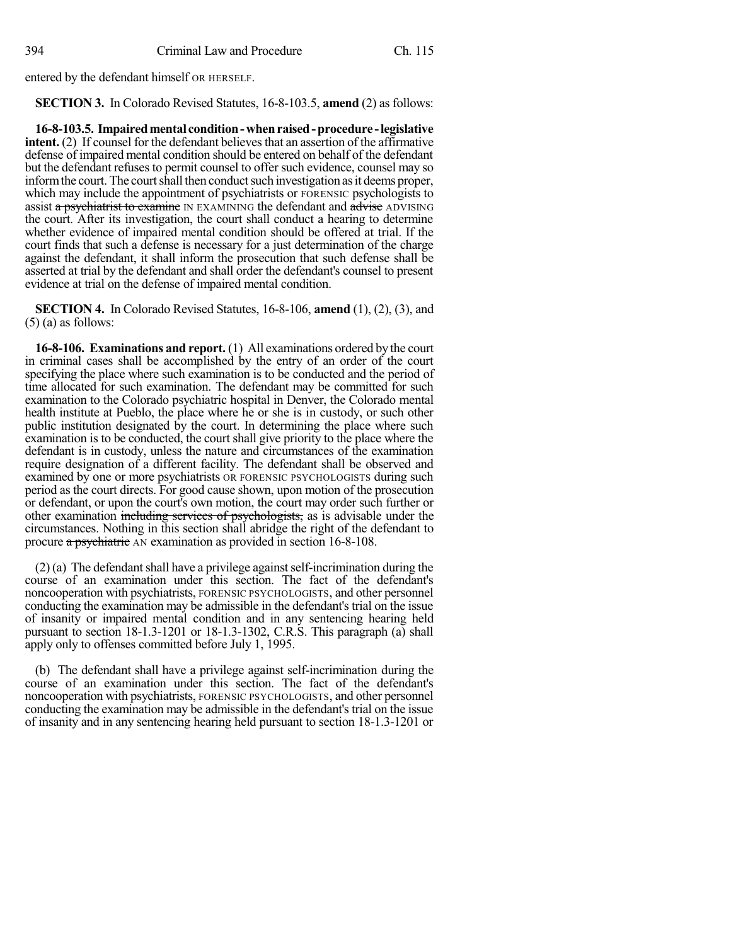entered by the defendant himself OR HERSELF.

**SECTION 3.** In Colorado Revised Statutes, 16-8-103.5, **amend** (2) as follows:

**16-8-103.5. Impairedmental condition-whenraised-procedure -legislative intent.** (2) If counsel for the defendant believes that an assertion of the affirmative defense of impaired mental condition should be entered on behalf of the defendant but the defendant refuses to permit counsel to offer such evidence, counsel may so inform the court. The court shall then conduct such investigation as it deems proper, which may include the appointment of psychiatrists or FORENSIC psychologists to assist a psychiatrist to examine IN EXAMINING the defendant and advise ADVISING the court. After its investigation, the court shall conduct a hearing to determine whether evidence of impaired mental condition should be offered at trial. If the court finds that such a defense is necessary for a just determination of the charge against the defendant, it shall inform the prosecution that such defense shall be asserted at trial by the defendant and shall order the defendant's counsel to present evidence at trial on the defense of impaired mental condition.

**SECTION 4.** In Colorado Revised Statutes, 16-8-106, **amend** (1), (2), (3), and  $(5)$  (a) as follows:

**16-8-106. Examinations and report.** (1) All examinations ordered by the court in criminal cases shall be accomplished by the entry of an order of the court specifying the place where such examination is to be conducted and the period of time allocated for such examination. The defendant may be committed for such examination to the Colorado psychiatric hospital in Denver, the Colorado mental health institute at Pueblo, the place where he or she is in custody, or such other public institution designated by the court. In determining the place where such examination is to be conducted, the court shall give priority to the place where the defendant is in custody, unless the nature and circumstances of the examination require designation of a different facility. The defendant shall be observed and examined by one or more psychiatrists OR FORENSIC PSYCHOLOGISTS during such period as the court directs. For good cause shown, upon motion of the prosecution or defendant, or upon the court's own motion, the court may order such further or other examination including services of psychologists, as is advisable under the circumstances. Nothing in this section shall abridge the right of the defendant to procure a psychiatric AN examination as provided in section 16-8-108.

 $(2)$  (a) The defendant shall have a privilege against self-incrimination during the course of an examination under this section. The fact of the defendant's noncooperation with psychiatrists, FORENSIC PSYCHOLOGISTS, and other personnel conducting the examination may be admissible in the defendant's trial on the issue of insanity or impaired mental condition and in any sentencing hearing held pursuant to section 18-1.3-1201 or 18-1.3-1302, C.R.S. This paragraph (a) shall apply only to offenses committed before July 1, 1995.

(b) The defendant shall have a privilege against self-incrimination during the course of an examination under this section. The fact of the defendant's noncooperation with psychiatrists, FORENSIC PSYCHOLOGISTS, and other personnel conducting the examination may be admissible in the defendant's trial on the issue of insanity and in any sentencing hearing held pursuant to section 18-1.3-1201 or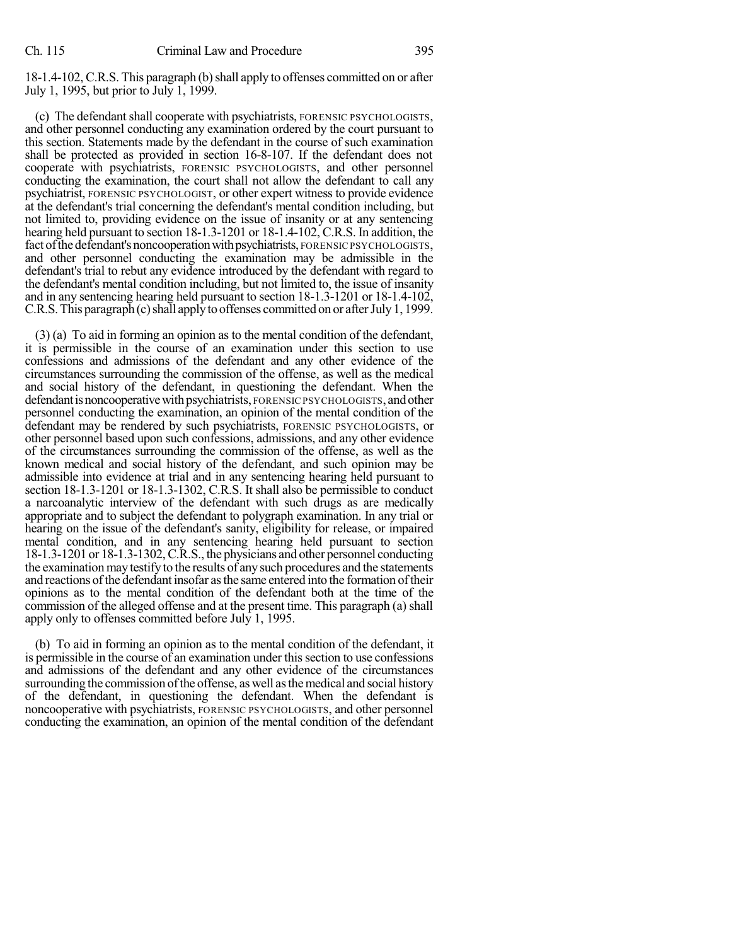18-1.4-102, C.R.S. This paragraph (b)shall apply to offenses committed on or after July 1, 1995, but prior to July 1, 1999.

(c) The defendant shall cooperate with psychiatrists, FORENSIC PSYCHOLOGISTS, and other personnel conducting any examination ordered by the court pursuant to this section. Statements made by the defendant in the course of such examination shall be protected as provided in section 16-8-107. If the defendant does not cooperate with psychiatrists, FORENSIC PSYCHOLOGISTS, and other personnel conducting the examination, the court shall not allow the defendant to call any psychiatrist, FORENSIC PSYCHOLOGIST, or other expert witness to provide evidence at the defendant's trial concerning the defendant's mental condition including, but not limited to, providing evidence on the issue of insanity or at any sentencing hearing held pursuant to section 18-1.3-1201 or 18-1.4-102, C.R.S. In addition, the fact of the defendant's noncooperation with psychiatrists, FORENSIC PSYCHOLOGISTS, and other personnel conducting the examination may be admissible in the defendant's trial to rebut any evidence introduced by the defendant with regard to the defendant's mental condition including, but not limited to, the issue of insanity and in any sentencing hearing held pursuant to section 18-1.3-1201 or 18-1.4-102, C.R.S. This paragraph (c) shall apply to offenses committed on or after July 1, 1999.

(3) (a) To aid in forming an opinion as to the mental condition of the defendant, it is permissible in the course of an examination under this section to use confessions and admissions of the defendant and any other evidence of the circumstances surrounding the commission of the offense, as well as the medical and social history of the defendant, in questioning the defendant. When the defendant is noncooperative with psychiatrists, FORENSIC PSYCHOLOGISTS, and other personnel conducting the examination, an opinion of the mental condition of the defendant may be rendered by such psychiatrists, FORENSIC PSYCHOLOGISTS, or other personnel based upon such confessions, admissions, and any other evidence of the circumstances surrounding the commission of the offense, as well as the known medical and social history of the defendant, and such opinion may be admissible into evidence at trial and in any sentencing hearing held pursuant to section 18-1.3-1201 or 18-1.3-1302, C.R.S. It shall also be permissible to conduct a narcoanalytic interview of the defendant with such drugs as are medically appropriate and to subject the defendant to polygraph examination. In any trial or hearing on the issue of the defendant's sanity, eligibility for release, or impaired mental condition, and in any sentencing hearing held pursuant to section 18-1.3-1201 or 18-1.3-1302,C.R.S., the physicians and other personnel conducting the examination may testify to the results of anysuch procedures and the statements and reactions of the defendant insofar as the same entered into the formation of their opinions as to the mental condition of the defendant both at the time of the commission of the alleged offense and at the present time. This paragraph (a) shall apply only to offenses committed before July 1, 1995.

(b) To aid in forming an opinion as to the mental condition of the defendant, it is permissible in the course of an examination under thissection to use confessions and admissions of the defendant and any other evidence of the circumstances surrounding the commission of the offense, as well as the medical and social history of the defendant, in questioning the defendant. When the defendant is noncooperative with psychiatrists, FORENSIC PSYCHOLOGISTS, and other personnel conducting the examination, an opinion of the mental condition of the defendant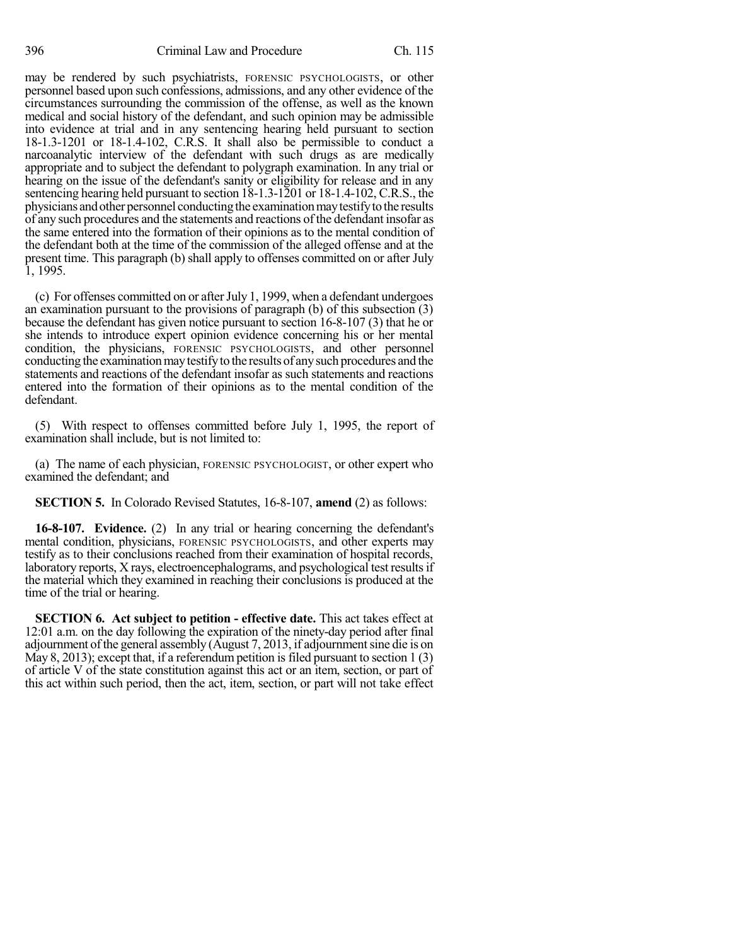may be rendered by such psychiatrists, FORENSIC PSYCHOLOGISTS, or other personnel based upon such confessions, admissions, and any other evidence of the circumstances surrounding the commission of the offense, as well as the known medical and social history of the defendant, and such opinion may be admissible into evidence at trial and in any sentencing hearing held pursuant to section 18-1.3-1201 or 18-1.4-102, C.R.S. It shall also be permissible to conduct a narcoanalytic interview of the defendant with such drugs as are medically appropriate and to subject the defendant to polygraph examination. In any trial or hearing on the issue of the defendant's sanity or eligibility for release and in any sentencing hearing held pursuant to section 18-1.3-1201 or 18-1.4-102, C.R.S., the physicians and other personnel conducting the examination may testify to the results of any such procedures and the statements and reactions of the defendant insofar as the same entered into the formation of their opinions as to the mental condition of the defendant both at the time of the commission of the alleged offense and at the present time. This paragraph (b) shall apply to offenses committed on or after July 1, 1995.

(c) For offenses committed on or afterJuly 1, 1999, when a defendant undergoes an examination pursuant to the provisions of paragraph (b) of this subsection (3) because the defendant has given notice pursuant to section 16-8-107 (3) that he or she intends to introduce expert opinion evidence concerning his or her mental condition, the physicians, FORENSIC PSYCHOLOGISTS, and other personnel conducting the examination may testify to the results of any such procedures and the statements and reactions of the defendant insofar as such statements and reactions entered into the formation of their opinions as to the mental condition of the defendant.

(5) With respect to offenses committed before July 1, 1995, the report of examination shall include, but is not limited to:

(a) The name of each physician, FORENSIC PSYCHOLOGIST, or other expert who examined the defendant; and

**SECTION 5.** In Colorado Revised Statutes, 16-8-107, **amend** (2) as follows:

**16-8-107. Evidence.** (2) In any trial or hearing concerning the defendant's mental condition, physicians, FORENSIC PSYCHOLOGISTS, and other experts may testify as to their conclusions reached from their examination of hospital records, laboratory reports, X rays, electroencephalograms, and psychological test resultsif the material which they examined in reaching their conclusions is produced at the time of the trial or hearing.

**SECTION 6. Act subject to petition - effective date.** This act takes effect at 12:01 a.m. on the day following the expiration of the ninety-day period after final adjournment of the general assembly  $(August 7, 2013, if adjour (111)$ May 8, 2013); except that, if a referendum petition is filed pursuant to section 1 (3) of article V of the state constitution against this act or an item, section, or part of this act within such period, then the act, item, section, or part will not take effect